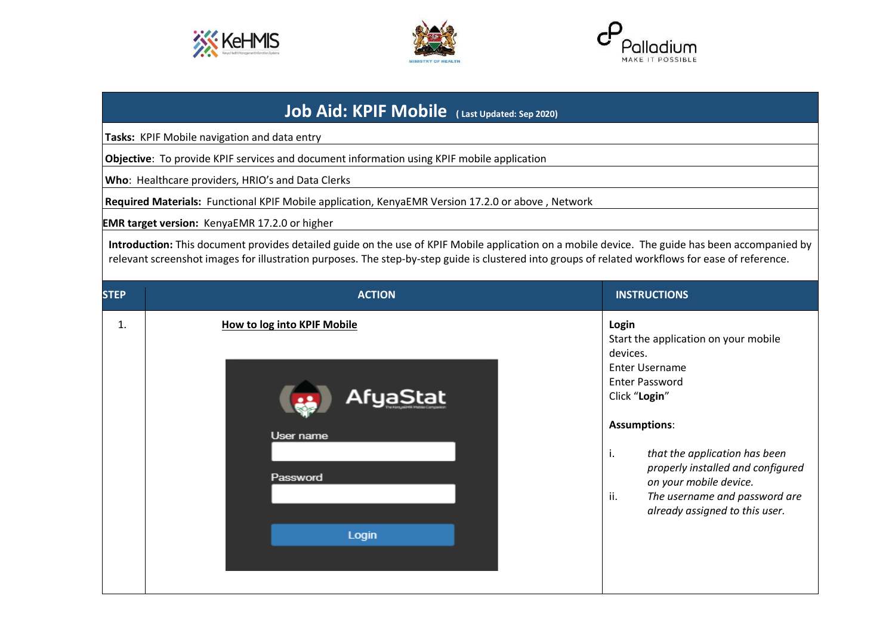





# **Job Aid: KPIF Mobile ( Last Updated: Sep 2020)**

**Tasks:** KPIF Mobile navigation and data entry

**Objective**: To provide KPIF services and document information using KPIF mobile application

**Who**: Healthcare providers, HRIO's and Data Clerks

**Required Materials:** Functional KPIF Mobile application, KenyaEMR Version 17.2.0 or above , Network

**EMR target version:** KenyaEMR 17.2.0 or higher

**Introduction:** This document provides detailed guide on the use of KPIF Mobile application on a mobile device. The guide has been accompanied by relevant screenshot images for illustration purposes. The step-by-step guide is clustered into groups of related workflows for ease of reference.

| <b>STEP</b> | <b>ACTION</b>                                                                           | <b>INSTRUCTIONS</b>                                                                                                                                                                                                                                                                                                          |
|-------------|-----------------------------------------------------------------------------------------|------------------------------------------------------------------------------------------------------------------------------------------------------------------------------------------------------------------------------------------------------------------------------------------------------------------------------|
| 1.          | <b>How to log into KPIF Mobile</b><br><b>AfyaStat</b><br>User name<br>Password<br>Login | Login<br>Start the application on your mobile<br>devices.<br>Enter Username<br><b>Enter Password</b><br>Click "Login"<br><b>Assumptions:</b><br>that the application has been<br>i.<br>properly installed and configured<br>on your mobile device.<br>ii.<br>The username and password are<br>already assigned to this user. |
|             |                                                                                         |                                                                                                                                                                                                                                                                                                                              |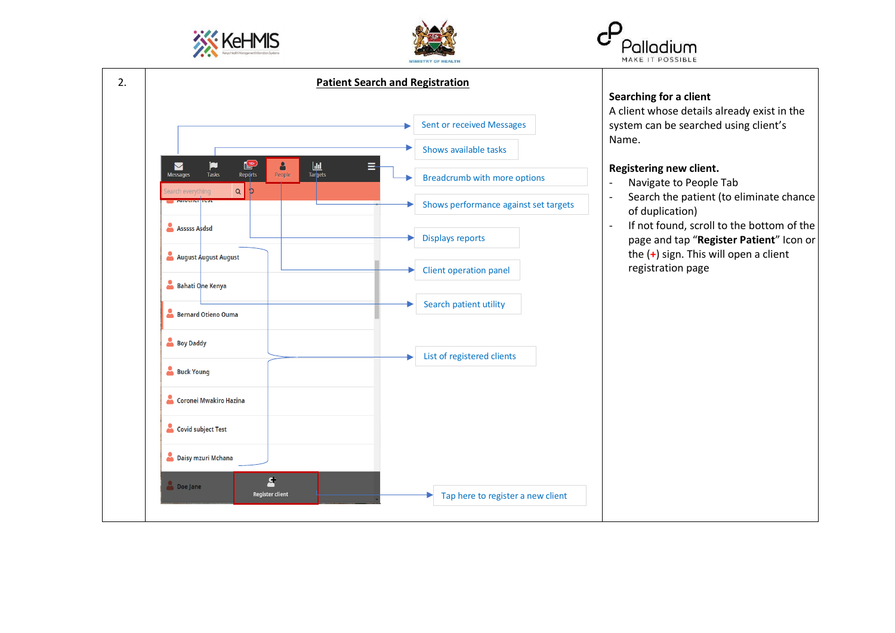





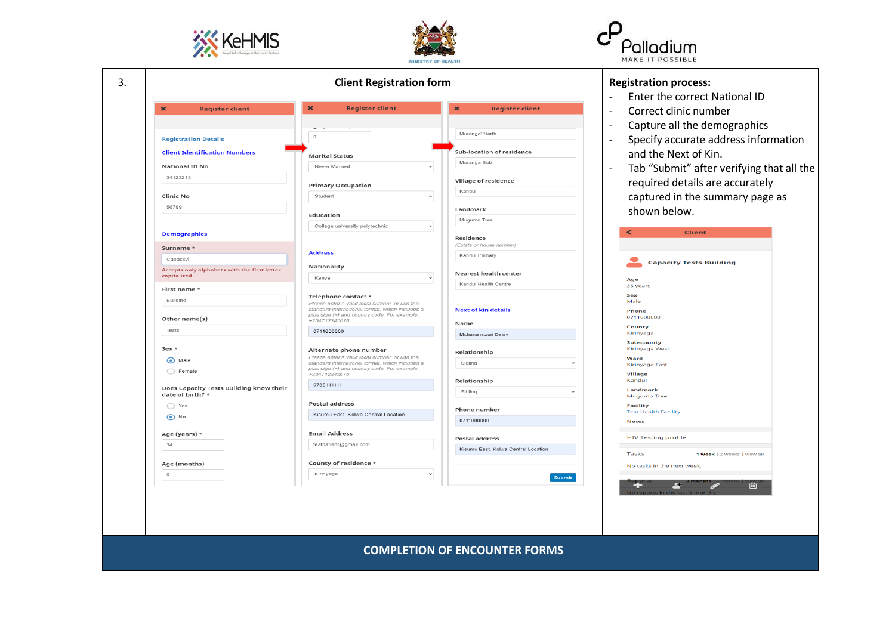





|                                              |                                                                                                  |                                                      | Enter the correct National ID<br>$\overline{a}$             |
|----------------------------------------------|--------------------------------------------------------------------------------------------------|------------------------------------------------------|-------------------------------------------------------------|
| <b>Register client</b><br>$\mathbf x$        | $\mathbf x$<br><b>Register client</b>                                                            | ×<br><b>Register client</b>                          | Correct clinic number<br>$\overline{\phantom{a}}$           |
|                                              | ب                                                                                                |                                                      | Capture all the demographics<br>$\overline{\phantom{a}}$    |
| <b>Registration Details</b>                  | $\circ$                                                                                          | Muranga' North                                       | Specify accurate address information<br>$\overline{a}$      |
| <b>Client Identification Numbers</b>         | <b>Marital Status</b>                                                                            | <b>Sub-location of residence</b>                     | and the Next of Kin.                                        |
| <b>National ID No</b>                        | Never Married                                                                                    | Muranga Sub                                          | Tab "Submit" after verifying that all the<br>$\overline{a}$ |
| 34123213                                     |                                                                                                  | Village of residence                                 |                                                             |
|                                              | <b>Primary Occupation</b><br>$\sim$                                                              | Kandui                                               | required details are accurately                             |
| Clinic No<br>56789                           | Student                                                                                          |                                                      | captured in the summary page as                             |
|                                              | Education                                                                                        | Landmark<br>Mugumo Tree                              | shown below.                                                |
|                                              | College university polytechnic                                                                   |                                                      | Client                                                      |
| <b>Demographics</b>                          |                                                                                                  | Residence<br>(Estate or house number)                |                                                             |
| Surname *<br>Capacity                        | <b>Address</b>                                                                                   | Kandui Primary                                       |                                                             |
| Accepts only alphabets with the first letter | Nationality                                                                                      |                                                      | <b>Capacity Tests Building</b>                              |
| capitalized                                  | Kenya<br>$\checkmark$                                                                            | <b>Nearest health center</b><br>Kandui Health Centre | Age                                                         |
| First name *                                 | Telephone contact *                                                                              |                                                      | 35 years<br>Sex                                             |
| Building                                     | Please enter a valid local number, or use the<br>standard international format, which includes a | <b>Next of kin details</b>                           | Male<br>Phone                                               |
| Other name(s)                                | plus sign (+) and country code. For example:<br>+254712345678                                    | Name                                                 | 0711000000                                                  |
| Tests                                        | 0711000000                                                                                       | Mchana mzuri Daisy                                   | County<br>Kirinyaga                                         |
| Sex *                                        | Alternate phone number                                                                           |                                                      | <b>Sub-county</b><br>Kirinyaga West                         |
| (a) Male                                     | Please enter a valid local number, or use the<br>standard international format, which includes a | Relationship<br>Sibling<br>$\checkmark$              | Ward                                                        |
| $\bigcirc$ Female                            | plus sign (+) and country code. For example:<br>+254712345678                                    |                                                      | Kirinyaga East<br><b>Village</b>                            |
| Does Capacity Tests Building know their      | 0788111111                                                                                       | Relationship                                         | Kandui                                                      |
| date of birth? *                             |                                                                                                  | Sibling<br>$\checkmark$                              | Landmark<br><b>Mugumo Tree</b>                              |
| $\bigcirc$ Yes                               | <b>Postal address</b><br>Kisumu East, Kolwa Central Location                                     | Phone number                                         | <b>Facility</b><br><b>Test Health Facility</b>              |
| $\odot$ No                                   |                                                                                                  | 0711000000                                           | <b>Notes</b>                                                |
| Age (years) *                                | <b>Email Address</b>                                                                             | <b>Postal address</b>                                | <b>HIV Testing profile</b>                                  |
| 34                                           | testpatient@gmail.com                                                                            | Kisumu East, Kolwa Central Location                  | Tasks<br>1 week   2 weeks   View all                        |
| Age (months)                                 | County of residence *                                                                            |                                                      | No tasks in the next week.                                  |
| $\circ$                                      | Kirinyaga<br>$\checkmark$                                                                        | Submit                                               |                                                             |
|                                              |                                                                                                  |                                                      | 으<br>勔                                                      |

**COMPLETION OF ENCOUNTER FORMS**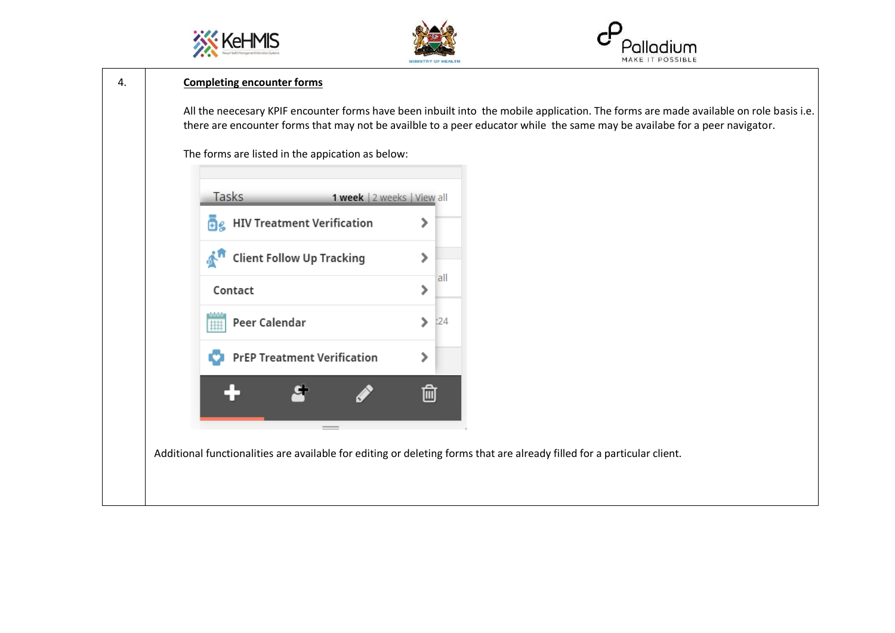





#### 4. **Completing encounter forms**

All the neecesary KPIF encounter forms have been inbuilt into the mobile application. The forms are made available on role basis i.e. there are encounter forms that may not be availble to a peer educator while the same may be availabe for a peer navigator.

The forms are listed in the appication as below:



Additional functionalities are available for editing or deleting forms that are already filled for a particular client.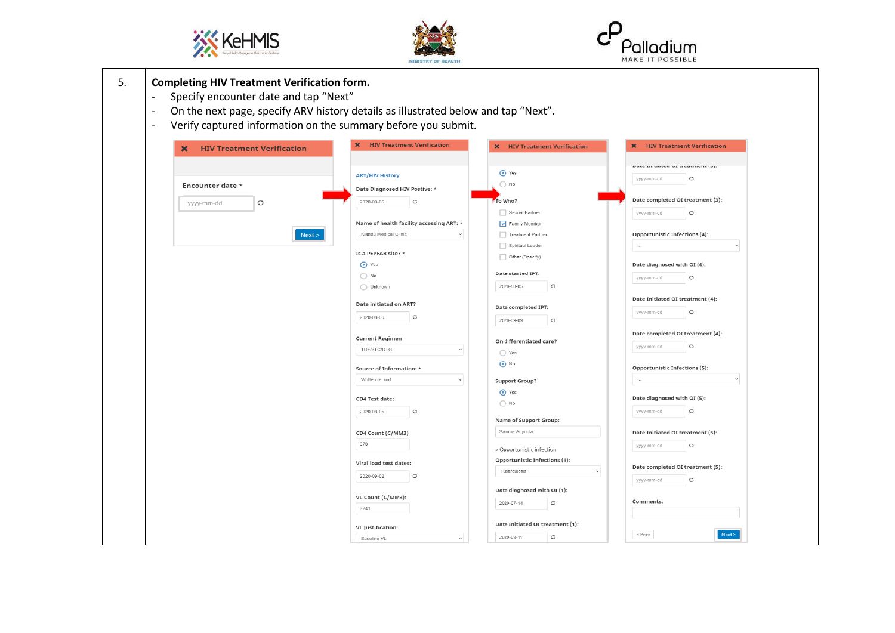





# 5. **Completing HIV Treatment Verification form.**

- Specify encounter date and tap "Next"
- On the next page, specify ARV history details as illustrated below and tap "Next".
- Verify captured information on the summary before you submit.

| <b>HIV Treatment Verification</b><br>$\mathbf x$ | <b>X</b> HIV Treatment Verification      | <b>X</b> HIV Treatment Verification  | <b>X</b> HIV Treatment Verification                   |
|--------------------------------------------------|------------------------------------------|--------------------------------------|-------------------------------------------------------|
| Encounter date *                                 | <b>ART/HIV History</b>                   | $\odot$ Yes<br>$\bigcirc$ No         | Date Impared Of Gedmein (3).<br>yyyy-mm-dd<br>$\circ$ |
|                                                  | Date Diagnosed HIV Postive: *            |                                      |                                                       |
| C<br>yyyy-mm-dd                                  | O<br>2020-08-05                          | fo Who?                              | Date completed OI treatment (3):                      |
|                                                  |                                          | Sexual Partner                       | $\circ$<br>yyyy-mm-dd                                 |
|                                                  | Name of health facility accessing ART: * | Family Member                        |                                                       |
| Next >                                           | Kiandu Medical Clinic                    | Treatment Partner                    | Opportunistic Infections (4):<br>$\checkmark$         |
|                                                  | Is a PEPFAR site? *                      | Spiritual Leader<br>Other (Specify)  |                                                       |
|                                                  | <b>⊙</b> Yes                             |                                      | Date diagnosed with OI (4):                           |
|                                                  | $\bigcirc$ No                            | Date started IPT:                    | $\circ$<br>yyyy-mm-dd                                 |
|                                                  | ◯ Unknown                                | $\circ$<br>2020-08-05                |                                                       |
|                                                  |                                          |                                      | Date Initiated OI treatment (4):                      |
|                                                  | Date initiated on ART?                   | Date completed IPT:                  | $\circ$<br>yyyy-mm-dd                                 |
|                                                  | 2020-08-06<br>O                          | 2020-09-09<br>$\circ$                |                                                       |
|                                                  | <b>Current Regimen</b>                   |                                      | Date completed OI treatment (4):                      |
|                                                  | TDF/3TC/DTG                              | On differentiated care?              | $\circ$<br>yyyy-mm-dd                                 |
|                                                  |                                          | $\bigcirc$ Yes                       |                                                       |
|                                                  | Source of Information: *                 | $\bigodot$ No                        | Opportunistic Infections (5):                         |
|                                                  | Written record<br>$\checkmark$           | <b>Support Group?</b>                | $\checkmark$                                          |
|                                                  |                                          | <b>⊙</b> Yes                         | Date diagnosed with OI (5):                           |
|                                                  | CD4 Test date:                           | $\bigcirc$ No                        |                                                       |
|                                                  | 2020-08-05<br>C                          | Name of Support Group:               | $\circ$<br>yyyy-mm-dd                                 |
|                                                  | CD4 Count (C/MM3)                        | Salome Anyuola                       | Date Initiated OI treatment (5):                      |
|                                                  | 378                                      |                                      | $\circ$                                               |
|                                                  |                                          | » Opportunistic infection            | yyyy-mm-dd                                            |
|                                                  | Viral load test dates:                   | <b>Opportunistic Infections (1):</b> | Date completed OI treatment (5):                      |
|                                                  | $\circ$<br>2020-09-02                    | Tuberculosis<br>$\checkmark$         | $\circ$<br>yyyy-mm-dd                                 |
|                                                  |                                          | Date diagnosed with OI (1):          |                                                       |
|                                                  | VL Count (C/MM3):                        | 2020-07-14<br>$\circ$                | Comments:                                             |
|                                                  | 3241                                     |                                      |                                                       |
|                                                  |                                          |                                      |                                                       |
|                                                  | VL Justification:                        | Date Initiated OI treatment (1):     |                                                       |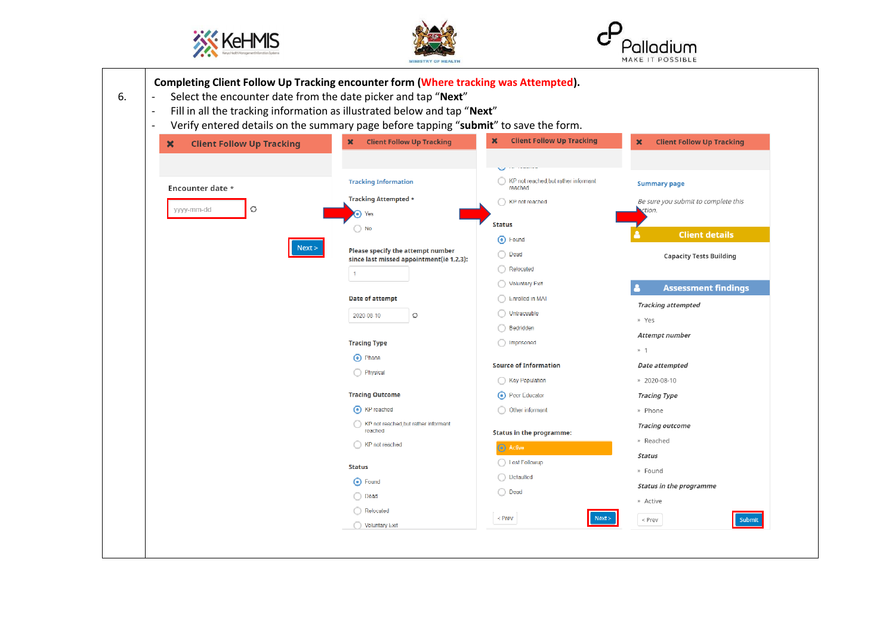





|                                       | Verify entered details on the summary page before tapping "submit" to save the form. |                                         |                                                               |
|---------------------------------------|--------------------------------------------------------------------------------------|-----------------------------------------|---------------------------------------------------------------|
| <b>Client Follow Up Tracking</b><br>× | <b>Client Follow Up Tracking</b><br>$\mathbf x$                                      | <b>Client Follow Up Tracking</b><br>×   | <b>Client Follow Up Tracking</b><br>$\boldsymbol{\mathsf{x}}$ |
|                                       |                                                                                      | <b>Continued in the Continued State</b> |                                                               |
|                                       | <b>Tracking Information</b>                                                          | KP not reached, but rather informant    | <b>Summary page</b>                                           |
| Encounter date *                      | <b>Tracking Attempted *</b>                                                          | reached                                 |                                                               |
| C<br>yyyy-mm-dd                       | $\bullet$ Yes                                                                        | KP not reached                          | Be sure you submit to complete this<br>ction.                 |
|                                       | $\bigcirc$ No                                                                        | <b>Status</b>                           |                                                               |
|                                       |                                                                                      | <b>O</b> Found                          | <b>Client details</b>                                         |
| Next >                                | Please specify the attempt number<br>since last missed appointment(ie 1,2,3):        | ◯ Dead                                  | <b>Capacity Tests Building</b>                                |
|                                       |                                                                                      | ◯ Relocated                             |                                                               |
|                                       |                                                                                      | <b>Voluntary Fxit</b>                   | <b>Assessment findings</b>                                    |
|                                       | Date of attempt                                                                      | Enrolled in MAI                         | <b>Tracking attempted</b>                                     |
|                                       | 2020-08-10<br>O                                                                      | Untraceable                             | » Yes                                                         |
|                                       |                                                                                      | Bedridden                               | Attempt number                                                |
|                                       | <b>Tracing Type</b>                                                                  | nprisoned                               | $*1$                                                          |
|                                       | (a) Phone                                                                            | <b>Source of Information</b>            | Date attempted                                                |
|                                       | C Physical                                                                           | ◯ Key Population                        | » 2020-08-10                                                  |
|                                       | <b>Tracing Outcome</b>                                                               | Peer Educator                           |                                                               |
|                                       | (a) KP reached                                                                       | ⊙<br>O Other informant                  | <b>Tracing Type</b><br>» Phone                                |
|                                       | KP not reached but rather informant                                                  |                                         | <b>Tracing outcome</b>                                        |
|                                       | reached                                                                              | Status in the programme:                | » Reached                                                     |
|                                       | KP not reached                                                                       | Active                                  | <b>Status</b>                                                 |
|                                       | <b>Status</b>                                                                        | ◯ Lost Followup                         |                                                               |
|                                       | (a) Found                                                                            | ◯ Detaulted                             | » Found                                                       |
|                                       | ◯ Dead                                                                               | ◯ Dead                                  | <b>Status in the programme</b>                                |
|                                       | Relocated                                                                            |                                         | » Active                                                      |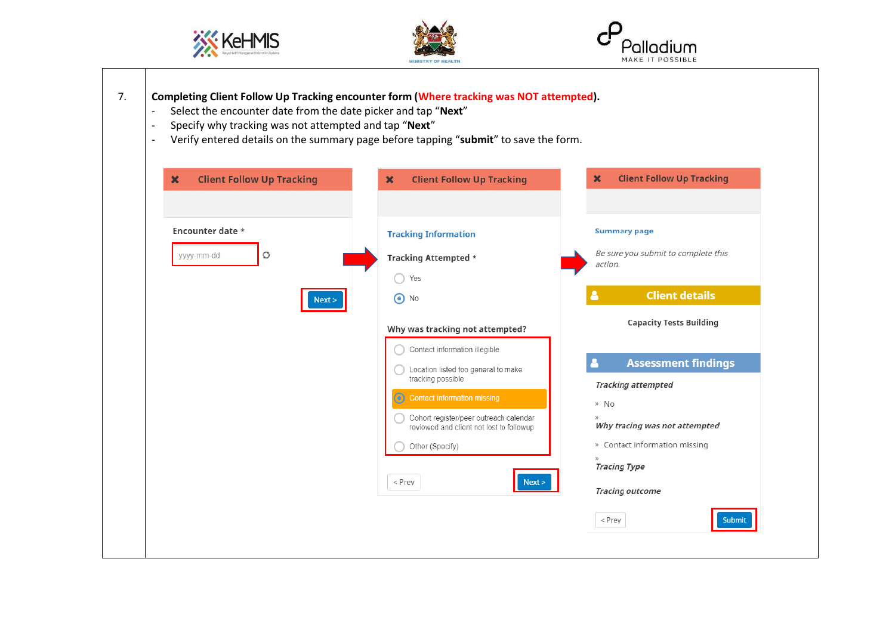





- 7. **Completing Client Follow Up Tracking encounter form (Where tracking was NOT attempted).** 
	- Select the encounter date from the date picker and tap "**Next**"
	- Specify why tracking was not attempted and tap "**Next**"
	- Verify entered details on the summary page before tapping "**submit**" to save the form.

| Encounter date * | <b>Tracking Information</b>                              | <b>Summary page</b>                            |
|------------------|----------------------------------------------------------|------------------------------------------------|
| C<br>yyyy-mm-dd  | <b>Tracking Attempted *</b>                              | Be sure you submit to complete this<br>action. |
|                  | Yes                                                      |                                                |
| Next >           | $\odot$ No                                               | <b>Client details</b>                          |
|                  | Why was tracking not attempted?                          | <b>Capacity Tests Building</b>                 |
|                  | Contact information illegible                            |                                                |
|                  | Location listed too general to make<br>tracking possible | <b>Assessment findings</b>                     |
|                  | <b>Contact information missing</b><br>⊙                  | <b>Tracking attempted</b>                      |
|                  | Cohort register/peer outreach calendar                   | » No                                           |
|                  | reviewed and client not lost to followup                 | Why tracing was not attempted                  |
|                  | Other (Specify)                                          | » Contact information missing                  |
|                  |                                                          | <b>Tracing Type</b>                            |
|                  | < Prev<br>Next >                                         | <b>Tracing outcome</b>                         |
|                  |                                                          |                                                |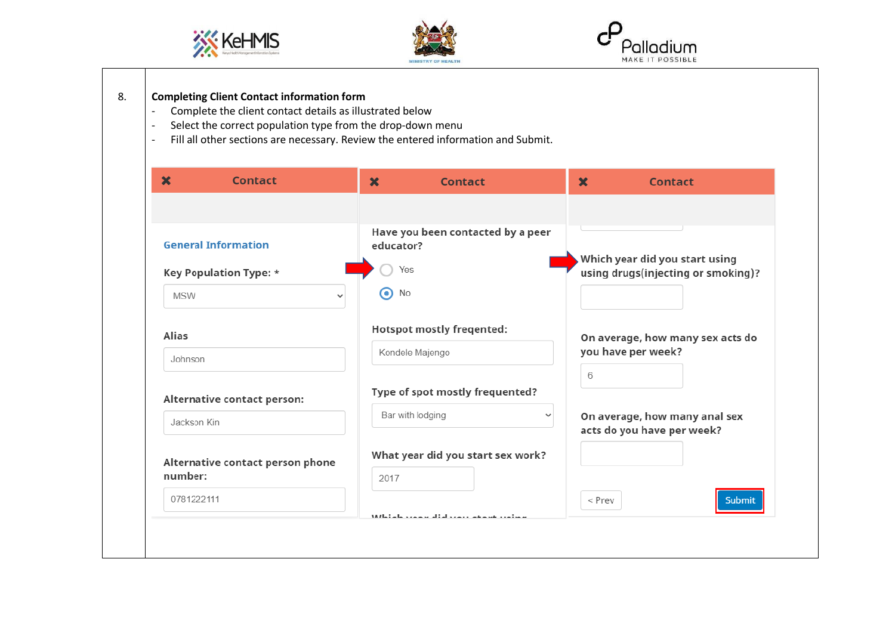





# 8. **Completing Client Contact information form**

- Complete the client contact details as illustrated below
- Select the correct population type from the drop-down menu
- Fill all other sections are necessary. Review the entered information and Submit.

| $\mathbf x$ | <b>Contact</b>                   | <b>Contact</b><br>$\mathbf x$                  | ×<br><b>Contact</b>                                                  |
|-------------|----------------------------------|------------------------------------------------|----------------------------------------------------------------------|
|             |                                  |                                                |                                                                      |
|             | <b>General Information</b>       | Have you been contacted by a peer<br>educator? |                                                                      |
|             | <b>Key Population Type: *</b>    | Yes                                            | Which year did you start using<br>using drugs(injecting or smoking)? |
| <b>MSW</b>  | $\checkmark$                     | $\odot$ No                                     |                                                                      |
| Alias       |                                  | <b>Hotspot mostly freqented:</b>               | On average, how many sex acts do                                     |
| Johnson     |                                  | Kondele Majengo                                | you have per week?                                                   |
|             | Alternative contact person:      | Type of spot mostly frequented?                | 6                                                                    |
| Jackson Kin |                                  | Bar with lodging                               | On average, how many anal sex<br>acts do you have per week?          |
|             | Alternative contact person phone | What year did you start sex work?              |                                                                      |
| number:     |                                  | 2017                                           |                                                                      |
| 0781222111  |                                  |                                                | < Prev<br><b>Submit</b>                                              |
|             |                                  | Milatala seaso alial seaso anaun seatora       |                                                                      |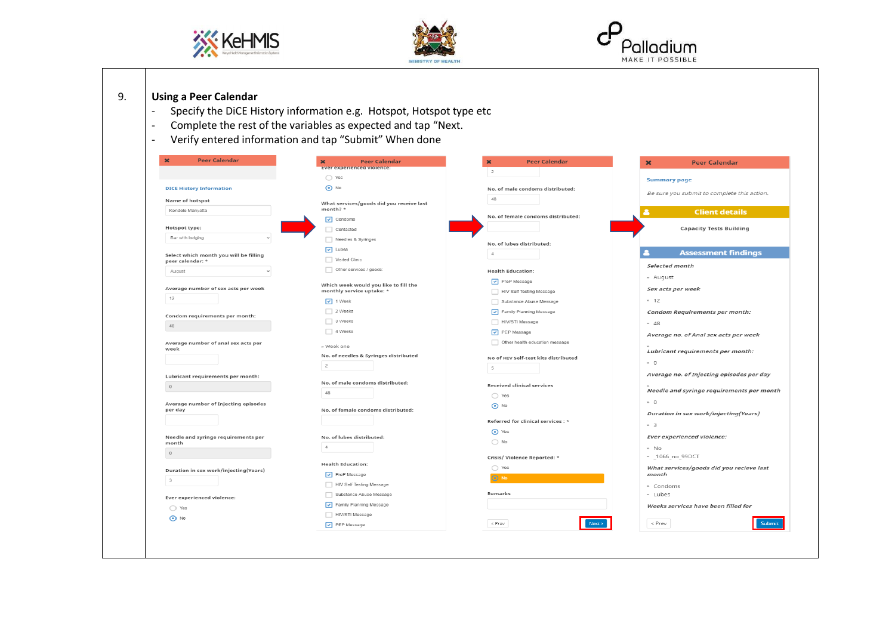





### 9. **Using a Peer Calendar**

- Specify the DiCE History information e.g. Hotspot, Hotspot type etc
- Complete the rest of the variables as expected and tap "Next.
- Verify entered information and tap "Submit" When done

| $\mathbf x$<br><b>Peer Calendar</b>             | $\mathbf{x}$<br><b>Peer Calendar</b><br><b>Ever experienced violence:</b> | $\mathbf{x}$<br><b>Peer Calendar</b> | <b>Peer Calendar</b><br>$\mathbf x$         |
|-------------------------------------------------|---------------------------------------------------------------------------|--------------------------------------|---------------------------------------------|
|                                                 | $\bigcirc$ Yes                                                            | $\overline{c}$                       | <b>Summary page</b>                         |
| <b>DICE History Information</b>                 | $\odot$ No                                                                | No. of male condoms distributed:     |                                             |
|                                                 |                                                                           | 48                                   | Be sure you submit to complete this action. |
| Name of hotspot                                 | What services/goods did you receive last                                  |                                      |                                             |
| Kondele Manyatta                                | month? *                                                                  | No. of female condoms distributed:   | <b>Client details</b><br>۰                  |
| Hotspot type:                                   | $\boxed{\checkmark}$ Condoms                                              |                                      | <b>Capacity Tests Building</b>              |
| $\sim$<br>Bar with lodging                      | Contacted                                                                 |                                      |                                             |
|                                                 | Needles & Syringes                                                        | No. of lubes distributed:            |                                             |
| Select which month you will be filling          | $\sqrt{\sqrt{ }}$ Lubes                                                   | $\overline{4}$                       | <b>Assessment findings</b>                  |
| peer calendar: *                                | Visited Clinic                                                            |                                      | <b>Selected month</b>                       |
| August                                          | Other services / goods:                                                   | <b>Health Education:</b>             |                                             |
|                                                 | Which week would you like to fill the                                     | PreP Message                         | » August                                    |
| Average number of sex acts per week             | monthly service uptake: *                                                 | HIV Self Testing Message             | Sex acts per week                           |
| 12                                              | $\sqrt{4}$ 1 Week                                                         | Substance Abuse Message              | $\approx$ 12                                |
|                                                 | $\boxed{\phantom{1}}$ 2 Weeks                                             | Family Planning Message              | Condom Requirements per month:              |
| Condom requirements per month:                  | $\boxed{\phantom{1}}$ 3 Weeks                                             | HIV/STI Message                      | $-48$                                       |
| 48                                              | $\Box$ 4 Weeks                                                            | $\boxed{\mathbf{v}}$ PEP Message     | Average no. of Anal sex acts per week       |
| Average number of anal sex acts per             |                                                                           | Other health education message       |                                             |
| week                                            | » Week one                                                                |                                      | Lubricant requirements per month:           |
|                                                 | No. of needles & Syringes distributed                                     | No of HIV Self-test kits distributed | $\infty$ 0                                  |
|                                                 | $\overline{2}$                                                            | 5                                    | Average no. of Injecting episodes per day   |
| Lubricant requirements per month:               | No. of male condoms distributed:                                          |                                      |                                             |
| $\circ$                                         | 48                                                                        | <b>Received clinical services</b>    | Needle and syringe requirements per month   |
|                                                 |                                                                           | $\bigcap$ Yes                        | $\infty$ 0                                  |
| Average number of Injecting episodes<br>per day | No. of female condoms distributed:                                        | $\bigodot$ No                        |                                             |
|                                                 |                                                                           | Referred for clinical services : *   | Duration in sex work/injecting(Years)       |
|                                                 |                                                                           | ⊙ Yes                                | $\infty$ 3                                  |
| Needle and syringe requirements per             | No. of lubes distributed:                                                 | $\bigcirc$ No                        | <b>Ever experienced violence:</b>           |
| month                                           | $\overline{4}$                                                            |                                      | » No                                        |
| $\circ$                                         |                                                                           | Crisis/ Violence Reported: *         | » 1066_no_99DCT                             |
| Duration in sex work/injecting(Years)           | <b>Health Education:</b>                                                  | $\bigcirc$ Yes                       | What services/goods did you recieve last    |
| $\mathbf{3}$                                    | $\boxed{\checkmark}$ PreP Message                                         | $\odot$ No                           | month                                       |
|                                                 | HIV Self Testing Message                                                  |                                      | » Condoms                                   |
| Ever experienced violence:                      | Substance Abuse Message                                                   | Remarks                              | » Lubes                                     |
| $\bigcirc$ Yes                                  | Family Planning Message                                                   |                                      | Weeks services have been filled for         |
| $\odot$ No                                      | HIV/STI Message                                                           |                                      |                                             |
|                                                 | $\boxed{\checkmark}$ PEP Message                                          | $<$ Prev                             | $<$ Prev                                    |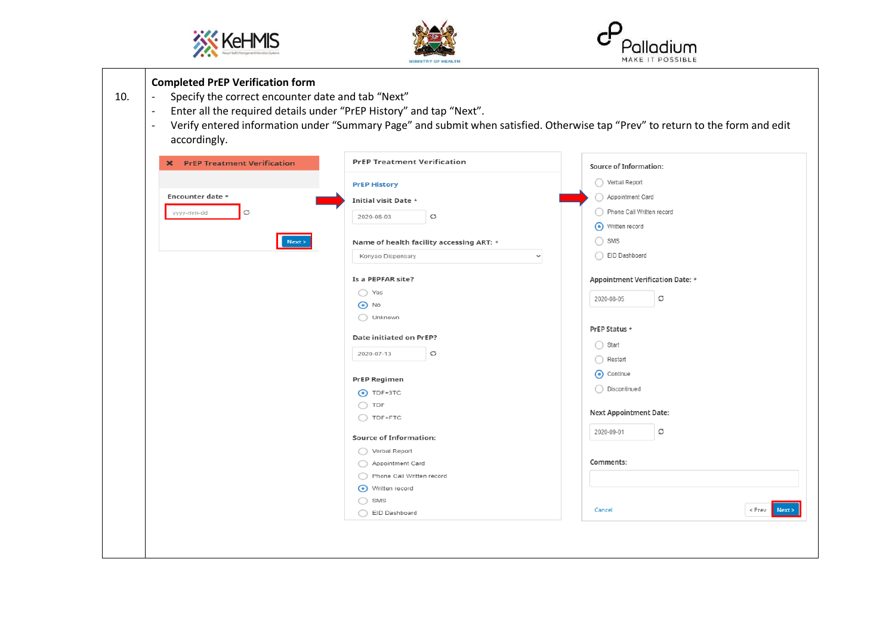





| Specify the correct encounter date and tab "Next"<br>$\overline{\phantom{a}}$<br>$\overline{\phantom{a}}$<br>$\overline{\phantom{a}}$<br>accordingly. | Enter all the required details under "PrEP History" and tap "Next". | Verify entered information under "Summary Page" and submit when satisfied. Otherwise tap "Prev" to return to the form and edit |
|-------------------------------------------------------------------------------------------------------------------------------------------------------|---------------------------------------------------------------------|--------------------------------------------------------------------------------------------------------------------------------|
| <b>X</b> PrEP Treatment Verification                                                                                                                  | <b>PrEP Treatment Verification</b>                                  | <b>Source of Information:</b>                                                                                                  |
|                                                                                                                                                       | <b>PrEP History</b>                                                 | ◯ Verbal Report                                                                                                                |
| Encounter date *                                                                                                                                      | Initial visit Date *                                                | Appointment Card                                                                                                               |
| O<br>yyyy-mm-dd                                                                                                                                       |                                                                     | Phone Call Written record                                                                                                      |
|                                                                                                                                                       | $\circ$<br>2020-08-03                                               | • Written record                                                                                                               |
| Next >                                                                                                                                                | Name of health facility accessing ART: *                            | $\bigcirc$ sms                                                                                                                 |
|                                                                                                                                                       | Konyao Dispensary<br>$\checkmark$                                   | EID Dashboard                                                                                                                  |
|                                                                                                                                                       | Is a PEPFAR site?                                                   | <b>Appointment Verification Date: *</b>                                                                                        |
|                                                                                                                                                       | $\bigcirc$ Yes                                                      |                                                                                                                                |
|                                                                                                                                                       | $\odot$ No                                                          | O<br>2020-08-05                                                                                                                |
|                                                                                                                                                       | ◯ Unknown                                                           |                                                                                                                                |
|                                                                                                                                                       |                                                                     | PrEP Status *                                                                                                                  |
|                                                                                                                                                       | Date initiated on PrEP?                                             | ◯ Start                                                                                                                        |
|                                                                                                                                                       | $\circ$<br>2020-07-13                                               | Restart                                                                                                                        |
|                                                                                                                                                       |                                                                     | ⊙ Continue                                                                                                                     |
|                                                                                                                                                       | <b>PrEP Regimen</b>                                                 | Discontinued                                                                                                                   |
|                                                                                                                                                       | $\odot$ TDF+3TC<br>$\bigcirc$ TDF                                   |                                                                                                                                |
|                                                                                                                                                       | $\bigcirc$ TDF+FTC                                                  | <b>Next Appointment Date:</b>                                                                                                  |
|                                                                                                                                                       |                                                                     | O<br>2020-09-01                                                                                                                |
|                                                                                                                                                       | <b>Source of Information:</b>                                       |                                                                                                                                |
|                                                                                                                                                       | ◯ Verbal Report<br>Appointment Card                                 | Comments:                                                                                                                      |
|                                                                                                                                                       | Phone Call Written record                                           |                                                                                                                                |
|                                                                                                                                                       | Written record                                                      |                                                                                                                                |
|                                                                                                                                                       | $\bigcirc$ sms                                                      |                                                                                                                                |
|                                                                                                                                                       | EID Dashboard                                                       | < Prev<br>Cancel<br>Next                                                                                                       |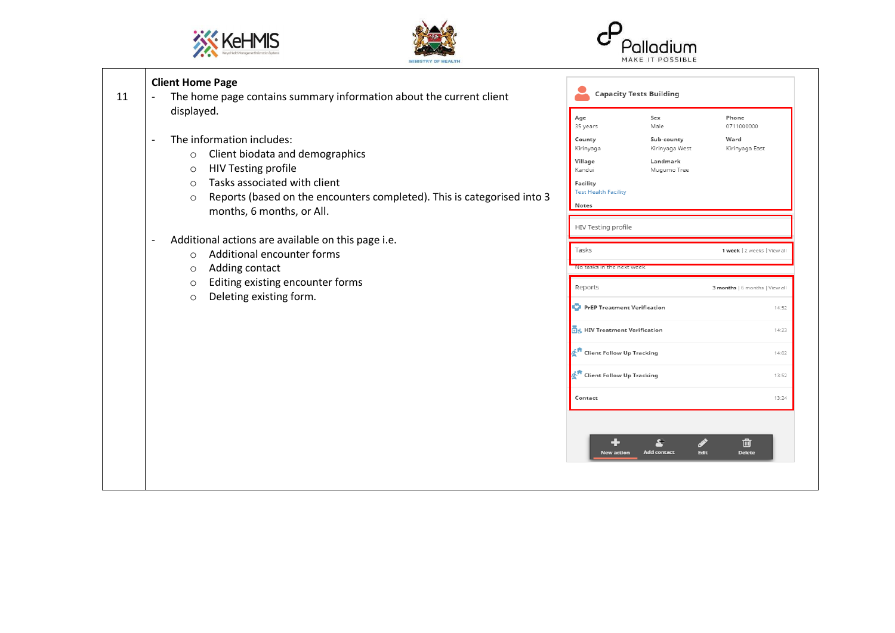





|                                                                                                                                                                                                                                  | <b>MINISTRY OF HEALTH</b> | MANE II PUSSIBLE                                                                                                                                                                                     |                                                                                   |
|----------------------------------------------------------------------------------------------------------------------------------------------------------------------------------------------------------------------------------|---------------------------|------------------------------------------------------------------------------------------------------------------------------------------------------------------------------------------------------|-----------------------------------------------------------------------------------|
| <b>Client Home Page</b><br>displayed.                                                                                                                                                                                            |                           | <b>Capacity Tests Building</b><br>Age<br>Sex<br>35 years<br>Male                                                                                                                                     | Phone<br>0711000000                                                               |
| The information includes:<br>$\overline{\phantom{a}}$<br>Client biodata and demographics<br>$\circ$<br><b>HIV Testing profile</b><br>$\circ$<br>Tasks associated with client<br>$\Omega$<br>$\circ$<br>months, 6 months, or All. |                           | County<br>Kirinyaga<br>Village<br>Kandui<br>Facility<br><b>Test Health Facility</b><br>Notes                                                                                                         | Sub-county<br>Ward<br>Kirinyaga West<br>Kirinyaga East<br>Landmark<br>Mugumo Tree |
| $\qquad \qquad \blacksquare$<br>Additional encounter forms<br>$\circ$<br>Adding contact<br>$\circ$<br>Editing existing encounter forms<br>$\circ$                                                                                |                           | HIV Testing profile<br>Tasks<br>No tasks in the next week                                                                                                                                            | 1 week   2 weeks   View all<br>3 months   6 months   View all                     |
| Deleting existing form.<br>$\circ$                                                                                                                                                                                               |                           | <b>PrEP Treatment Verification</b><br>ြါး HIV Treatment Verification                                                                                                                                 | 14:52<br>14:23                                                                    |
|                                                                                                                                                                                                                                  |                           | Client Follow Up Tracking<br>Client Follow Up Tracking                                                                                                                                               | 14:02<br>13:52                                                                    |
|                                                                                                                                                                                                                                  |                           | 42<br><b>Add contact</b><br><b>New action</b>                                                                                                                                                        | 13:24<br>⑩<br>착<br>Edit<br><b>Delete</b>                                          |
|                                                                                                                                                                                                                                  |                           | The home page contains summary information about the current client<br>Reports (based on the encounters completed). This is categorised into 3<br>Additional actions are available on this page i.e. | Reports<br>Contact                                                                |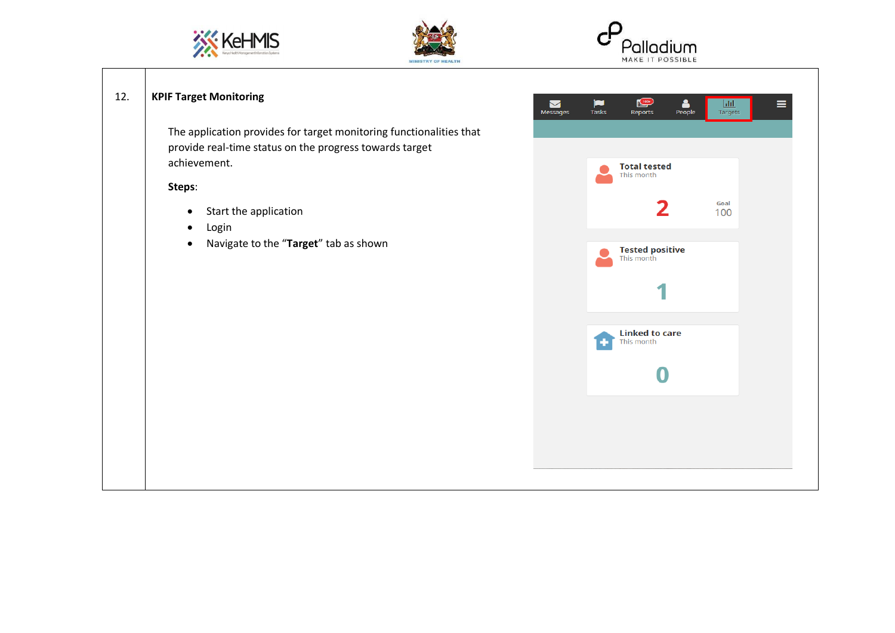





# 12. **KPIF Target Monitoring**

The application provides for target monitoring functionalities that provide real-time status on the progress towards target achievement.

**Steps**:

- Start the application
- Login
- Navigate to the "**Target**" tab as shown

| Messages | <b>Tasks</b> | $100+$<br>Reports                                            | 8<br>People | Ш<br>Targets |  |
|----------|--------------|--------------------------------------------------------------|-------------|--------------|--|
|          |              |                                                              |             |              |  |
|          |              | <b>Total tested</b><br>This month<br>$\overline{\mathbf{2}}$ |             | Goal<br>100  |  |
|          |              | Tested positive<br>This month                                |             |              |  |
|          |              | <b>Linked to care</b><br>This month                          |             |              |  |
|          |              |                                                              |             |              |  |